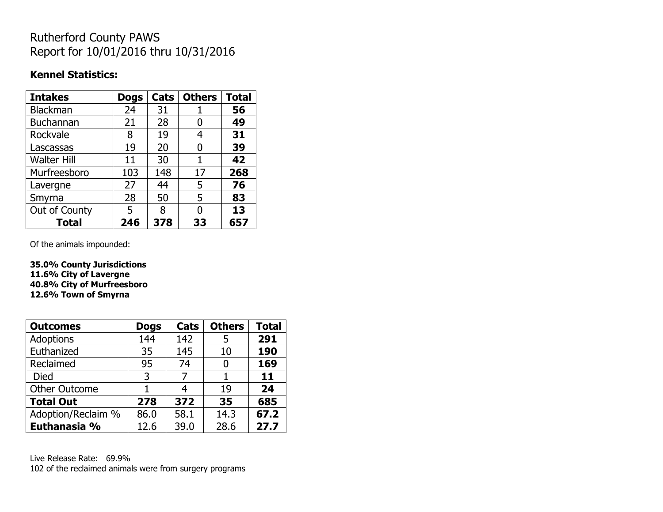## Rutherford County PAWS Report for 10/01/2016 thru 10/31/2016

#### **Kennel Statistics:**

| <b>Intakes</b>     | <b>Dogs</b> | Cats | <b>Others</b> | <b>Total</b> |
|--------------------|-------------|------|---------------|--------------|
| <b>Blackman</b>    | 24          | 31   |               | 56           |
| <b>Buchannan</b>   | 21          | 28   | 0             | 49           |
| Rockvale           | 8           | 19   | 4             | 31           |
| Lascassas          | 19          | 20   | 0             | 39           |
| <b>Walter Hill</b> | 11          | 30   | 1             | 42           |
| Murfreesboro       | 103         | 148  | 17            | 268          |
| Lavergne           | 27          | 44   | 5             | 76           |
| Smyrna             | 28          | 50   | 5             | 83           |
| Out of County      | 5           | 8    | O             | 13           |
| <b>Total</b>       | 246         | 378  | 33            | 657          |

Of the animals impounded:

**35.0% County Jurisdictions 11.6% City of Lavergne 40.8% City of Murfreesboro 12.6% Town of Smyrna**

| <b>Outcomes</b>      | <b>Dogs</b> | Cats | <b>Others</b> | <b>Total</b> |
|----------------------|-------------|------|---------------|--------------|
| <b>Adoptions</b>     | 144         | 142  | 5             | 291          |
| Euthanized           | 35          | 145  | 10            | 190          |
| Reclaimed            | 95          | 74   | 0             | 169          |
| <b>Died</b>          | 3           | 7    |               | 11           |
| <b>Other Outcome</b> |             |      | 19            | 24           |
| <b>Total Out</b>     | 278         | 372  | 35            | 685          |
| Adoption/Reclaim %   | 86.0        | 58.1 | 14.3          | 67.2         |
| Euthanasia %         | 12.6        | 39.0 | 28.6          | 27.7         |

Live Release Rate: 69.9% 102 of the reclaimed animals were from surgery programs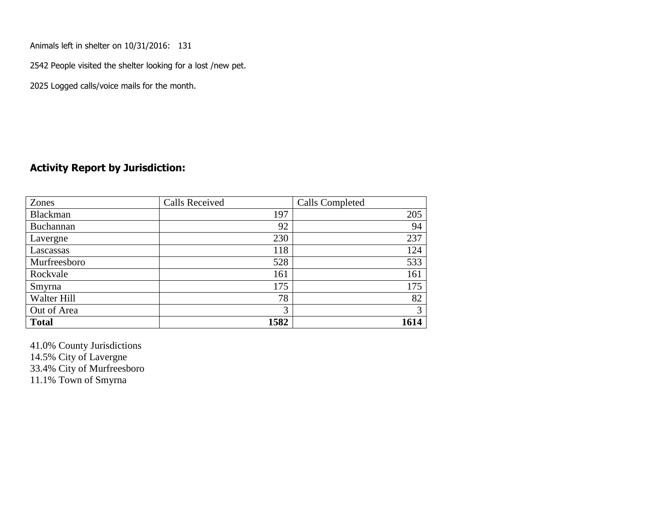Animals left in shelter on 10/31/2016: 131

2542 People visited the shelter looking for a lost /new pet.

2025 Logged calls/voice mails for the month.

#### **Activity Report by Jurisdiction:**

| Zones           | <b>Calls Received</b> | Calls Completed |
|-----------------|-----------------------|-----------------|
| <b>Blackman</b> | 197                   | 205             |
| Buchannan       | 92                    | 94              |
| Lavergne        | 230                   | 237             |
| Lascassas       | 118                   | 124             |
| Murfreesboro    | 528                   | 533             |
| Rockvale        | 161                   | 161             |
| Smyrna          | 175                   | 175             |
| Walter Hill     | 78                    | 82              |
| Out of Area     | 3                     | 3               |
| <b>Total</b>    | 1582                  | 1614            |

41.0% County Jurisdictions 14.5% City of Lavergne

33.4% City of Murfreesboro

11.1% Town of Smyrna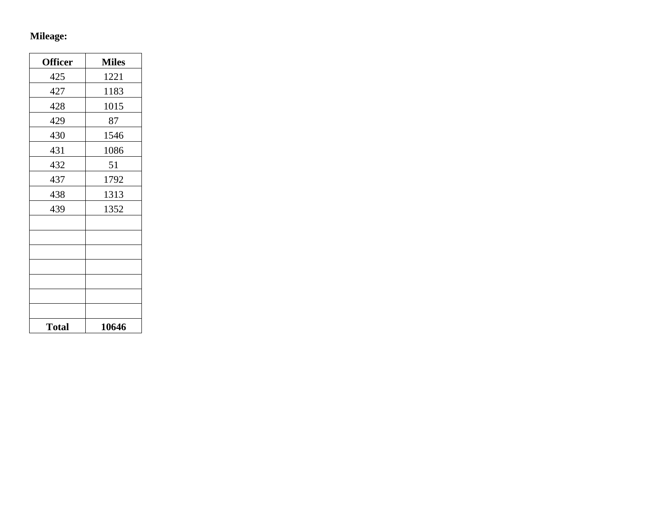# **Mileage:**

| <b>Officer</b> | <b>Miles</b> |
|----------------|--------------|
| 425            | 1221         |
| 427            | 1183         |
| 428            | 1015         |
| 429            | 87           |
| 430            | 1546         |
| 431            | 1086         |
| 432            | 51           |
| 437            | 1792         |
| 438            | 1313         |
| 439            | 1352         |
|                |              |
|                |              |
|                |              |
|                |              |
|                |              |
|                |              |
|                |              |
| <b>Total</b>   | 10646        |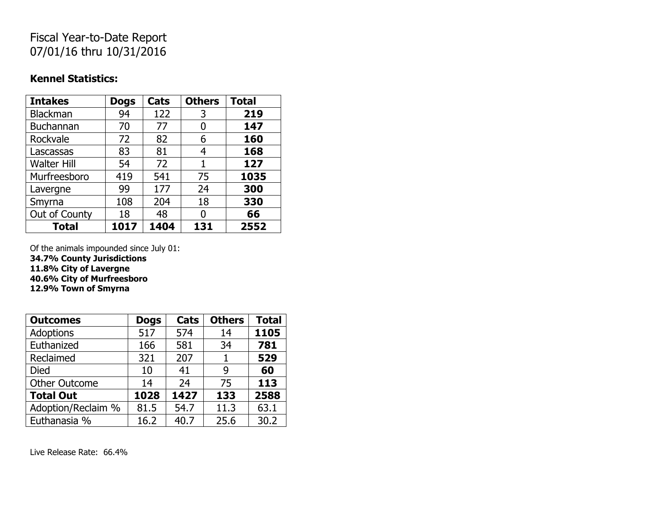## Fiscal Year-to-Date Report 07/01/16 thru 10/31/2016

#### **Kennel Statistics:**

| <b>Intakes</b>     | <b>Dogs</b> | Cats | <b>Others</b> | <b>Total</b> |
|--------------------|-------------|------|---------------|--------------|
| Blackman           | 94          | 122  | 3             | 219          |
| <b>Buchannan</b>   | 70          | 77   | 0             | 147          |
| Rockvale           | 72          | 82   | 6             | 160          |
| Lascassas          | 83          | 81   | 4             | 168          |
| <b>Walter Hill</b> | 54          | 72   | 1             | 127          |
| Murfreesboro       | 419         | 541  | 75            | 1035         |
| Lavergne           | 99          | 177  | 24            | 300          |
| Smyrna             | 108         | 204  | 18            | 330          |
| Out of County      | 18          | 48   | O             | 66           |
| <b>Total</b>       | 1017        | 1404 | 131           | 2552         |

Of the animals impounded since July 01:

**34.7% County Jurisdictions**

**11.8% City of Lavergne**

**40.6% City of Murfreesboro**

**12.9% Town of Smyrna**

| <b>Outcomes</b>      | <b>Dogs</b> | Cats | <b>Others</b> | <b>Total</b> |
|----------------------|-------------|------|---------------|--------------|
| Adoptions            | 517         | 574  | 14            | 1105         |
| Euthanized           | 166         | 581  | 34            | 781          |
| Reclaimed            | 321         | 207  | 1             | 529          |
| <b>Died</b>          | 10          | 41   | 9             | 60           |
| <b>Other Outcome</b> | 14          | 24   | 75            | 113          |
| <b>Total Out</b>     | 1028        | 1427 | 133           | 2588         |
| Adoption/Reclaim %   | 81.5        | 54.7 | 11.3          | 63.1         |
| Euthanasia %         | 16.2        | 40.7 | 25.6          | 30.2         |

Live Release Rate: 66.4%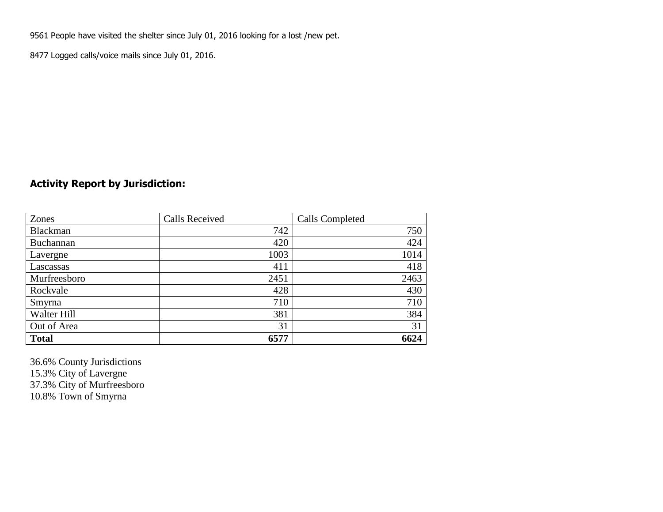9561 People have visited the shelter since July 01, 2016 looking for a lost /new pet.

8477 Logged calls/voice mails since July 01, 2016.

### **Activity Report by Jurisdiction:**

| Zones           | <b>Calls Received</b> | Calls Completed |
|-----------------|-----------------------|-----------------|
| <b>Blackman</b> | 742                   | 750             |
| Buchannan       | 420                   | 424             |
| Lavergne        | 1003                  | 1014            |
| Lascassas       | 411                   | 418             |
| Murfreesboro    | 2451                  | 2463            |
| Rockvale        | 428                   | 430             |
| Smyrna          | 710                   | 710             |
| Walter Hill     | 381                   | 384             |
| Out of Area     | 31                    | 31              |
| <b>Total</b>    | 6577                  | 6624            |

36.6% County Jurisdictions 15.3% City of Lavergne 37.3% City of Murfreesboro 10.8% Town of Smyrna